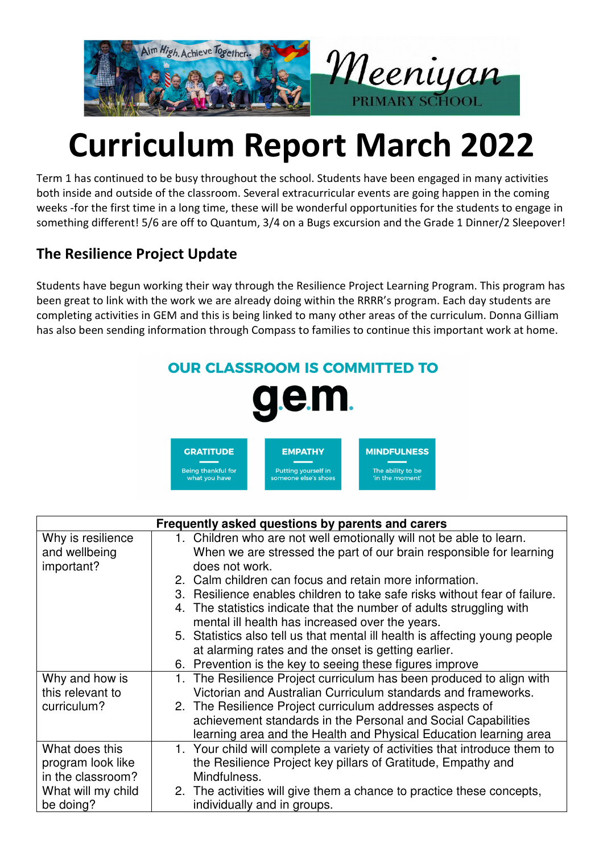

## **Curriculum Report March 2022**

Term 1 has continued to be busy throughout the school. Students have been engaged in many activities both inside and outside of the classroom. Several extracurricular events are going happen in the coming weeks -for the first time in a long time, these will be wonderful opportunities for the students to engage in something different! 5/6 are off to Quantum, 3/4 on a Bugs excursion and the Grade 1 Dinner/2 Sleepover!

## **The Resilience Project Update**

Students have begun working their way through the Resilience Project Learning Program. This program has been great to link with the work we are already doing within the RRRR's program. Each day students are completing activities in GEM and this is being linked to many other areas of the curriculum. Donna Gilliam has also been sending information through Compass to families to continue this important work at home.

## **OUR CLASSROOM IS COMMITTED TO** Π. **MINDFULNESS GRATITUDE EMPATHY** Putting yourself in<br>someone else's shoe **Being thankful for** The ability to be vhat vou hav in the moment

| Frequently asked questions by parents and carers |                                                                             |  |
|--------------------------------------------------|-----------------------------------------------------------------------------|--|
| Why is resilience                                | 1. Children who are not well emotionally will not be able to learn.         |  |
| and wellbeing                                    | When we are stressed the part of our brain responsible for learning         |  |
| important?                                       | does not work.                                                              |  |
|                                                  | 2. Calm children can focus and retain more information.                     |  |
|                                                  | 3. Resilience enables children to take safe risks without fear of failure.  |  |
|                                                  | 4. The statistics indicate that the number of adults struggling with        |  |
|                                                  | mental ill health has increased over the years.                             |  |
|                                                  | 5. Statistics also tell us that mental ill health is affecting young people |  |
|                                                  | at alarming rates and the onset is getting earlier.                         |  |
|                                                  | 6. Prevention is the key to seeing these figures improve                    |  |
| Why and how is                                   | The Resilience Project curriculum has been produced to align with<br>1.     |  |
| this relevant to                                 | Victorian and Australian Curriculum standards and frameworks.               |  |
| curriculum?                                      | 2. The Resilience Project curriculum addresses aspects of                   |  |
|                                                  | achievement standards in the Personal and Social Capabilities               |  |
|                                                  | learning area and the Health and Physical Education learning area           |  |
| What does this                                   | 1. Your child will complete a variety of activities that introduce them to  |  |
| program look like                                | the Resilience Project key pillars of Gratitude, Empathy and                |  |
| in the classroom?                                | Mindfulness.                                                                |  |
| What will my child                               | 2. The activities will give them a chance to practice these concepts,       |  |
| be doing?                                        | individually and in groups.                                                 |  |